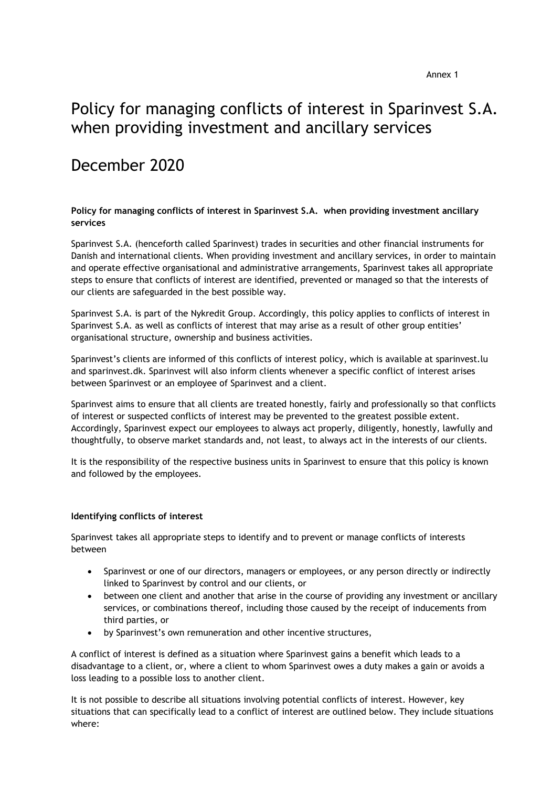# Policy for managing conflicts of interest in Sparinvest S.A. when providing investment and ancillary services

# December 2020

## **Policy for managing conflicts of interest in Sparinvest S.A. when providing investment ancillary services**

Sparinvest S.A. (henceforth called Sparinvest) trades in securities and other financial instruments for Danish and international clients. When providing investment and ancillary services, in order to maintain and operate effective organisational and administrative arrangements, Sparinvest takes all appropriate steps to ensure that conflicts of interest are identified, prevented or managed so that the interests of our clients are safeguarded in the best possible way.

Sparinvest S.A. is part of the Nykredit Group. Accordingly, this policy applies to conflicts of interest in Sparinvest S.A. as well as conflicts of interest that may arise as a result of other group entities' organisational structure, ownership and business activities.

Sparinvest's clients are informed of this conflicts of interest policy, which is available at sparinvest.lu and sparinvest.dk. Sparinvest will also inform clients whenever a specific conflict of interest arises between Sparinvest or an employee of Sparinvest and a client.

Sparinvest aims to ensure that all clients are treated honestly, fairly and professionally so that conflicts of interest or suspected conflicts of interest may be prevented to the greatest possible extent. Accordingly, Sparinvest expect our employees to always act properly, diligently, honestly, lawfully and thoughtfully, to observe market standards and, not least, to always act in the interests of our clients.

It is the responsibility of the respective business units in Sparinvest to ensure that this policy is known and followed by the employees.

### **Identifying conflicts of interest**

Sparinvest takes all appropriate steps to identify and to prevent or manage conflicts of interests between

- Sparinvest or one of our directors, managers or employees, or any person directly or indirectly linked to Sparinvest by control and our clients, or
- between one client and another that arise in the course of providing any investment or ancillary services, or combinations thereof, including those caused by the receipt of inducements from third parties, or
- by Sparinvest's own remuneration and other incentive structures,

A conflict of interest is defined as a situation where Sparinvest gains a benefit which leads to a disadvantage to a client, or, where a client to whom Sparinvest owes a duty makes a gain or avoids a loss leading to a possible loss to another client.

It is not possible to describe all situations involving potential conflicts of interest. However, key situations that can specifically lead to a conflict of interest are outlined below. They include situations where: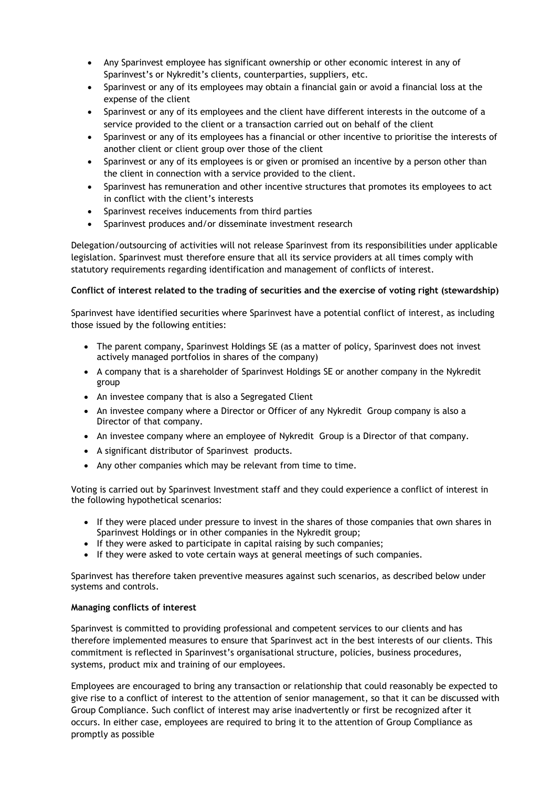- Any Sparinvest employee has significant ownership or other economic interest in any of Sparinvest's or Nykredit's clients, counterparties, suppliers, etc.
- Sparinvest or any of its employees may obtain a financial gain or avoid a financial loss at the expense of the client
- Sparinvest or any of its employees and the client have different interests in the outcome of a service provided to the client or a transaction carried out on behalf of the client
- Sparinvest or any of its employees has a financial or other incentive to prioritise the interests of another client or client group over those of the client
- Sparinvest or any of its employees is or given or promised an incentive by a person other than the client in connection with a service provided to the client.
- Sparinvest has remuneration and other incentive structures that promotes its employees to act in conflict with the client's interests
- Sparinvest receives inducements from third parties
- Sparinvest produces and/or disseminate investment research

Delegation/outsourcing of activities will not release Sparinvest from its responsibilities under applicable legislation. Sparinvest must therefore ensure that all its service providers at all times comply with statutory requirements regarding identification and management of conflicts of interest.

## **Conflict of interest related to the trading of securities and the exercise of voting right (stewardship)**

Sparinvest have identified securities where Sparinvest have a potential conflict of interest, as including those issued by the following entities:

- The parent company, Sparinvest Holdings SE (as a matter of policy, Sparinvest does not invest actively managed portfolios in shares of the company)
- A company that is a shareholder of Sparinvest Holdings SE or another company in the Nykredit group
- An investee company that is also a Segregated Client
- An investee company where a Director or Officer of any Nykredit Group company is also a Director of that company.
- An investee company where an employee of Nykredit Group is a Director of that company.
- A significant distributor of Sparinvest products.
- Any other companies which may be relevant from time to time.

Voting is carried out by Sparinvest Investment staff and they could experience a conflict of interest in the following hypothetical scenarios:

- If they were placed under pressure to invest in the shares of those companies that own shares in Sparinvest Holdings or in other companies in the Nykredit group;
- If they were asked to participate in capital raising by such companies;
- If they were asked to vote certain ways at general meetings of such companies.

Sparinvest has therefore taken preventive measures against such scenarios, as described below under systems and controls.

### **Managing conflicts of interest**

Sparinvest is committed to providing professional and competent services to our clients and has therefore implemented measures to ensure that Sparinvest act in the best interests of our clients. This commitment is reflected in Sparinvest's organisational structure, policies, business procedures, systems, product mix and training of our employees.

Employees are encouraged to bring any transaction or relationship that could reasonably be expected to give rise to a conflict of interest to the attention of senior management, so that it can be discussed with Group Compliance. Such conflict of interest may arise inadvertently or first be recognized after it occurs. In either case, employees are required to bring it to the attention of Group Compliance as promptly as possible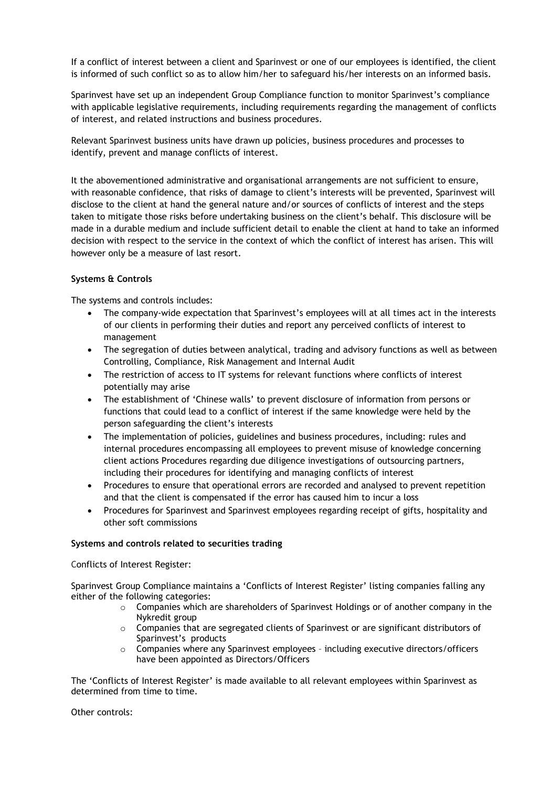If a conflict of interest between a client and Sparinvest or one of our employees is identified, the client is informed of such conflict so as to allow him/her to safeguard his/her interests on an informed basis.

Sparinvest have set up an independent Group Compliance function to monitor Sparinvest's compliance with applicable legislative requirements, including requirements regarding the management of conflicts of interest, and related instructions and business procedures.

Relevant Sparinvest business units have drawn up policies, business procedures and processes to identify, prevent and manage conflicts of interest.

It the abovementioned administrative and organisational arrangements are not sufficient to ensure, with reasonable confidence, that risks of damage to client's interests will be prevented, Sparinvest will disclose to the client at hand the general nature and/or sources of conflicts of interest and the steps taken to mitigate those risks before undertaking business on the client's behalf. This disclosure will be made in a durable medium and include sufficient detail to enable the client at hand to take an informed decision with respect to the service in the context of which the conflict of interest has arisen. This will however only be a measure of last resort.

### **Systems & Controls**

The systems and controls includes:

- The company-wide expectation that Sparinvest's employees will at all times act in the interests of our clients in performing their duties and report any perceived conflicts of interest to management
- The segregation of duties between analytical, trading and advisory functions as well as between Controlling, Compliance, Risk Management and Internal Audit
- The restriction of access to IT systems for relevant functions where conflicts of interest potentially may arise
- The establishment of 'Chinese walls' to prevent disclosure of information from persons or functions that could lead to a conflict of interest if the same knowledge were held by the person safeguarding the client's interests
- The implementation of policies, guidelines and business procedures, including: rules and internal procedures encompassing all employees to prevent misuse of knowledge concerning client actions Procedures regarding due diligence investigations of outsourcing partners, including their procedures for identifying and managing conflicts of interest
- Procedures to ensure that operational errors are recorded and analysed to prevent repetition and that the client is compensated if the error has caused him to incur a loss
- Procedures for Sparinvest and Sparinvest employees regarding receipt of gifts, hospitality and other soft commissions

#### **Systems and controls related to securities trading**

Conflicts of Interest Register:

Sparinvest Group Compliance maintains a 'Conflicts of Interest Register' listing companies falling any either of the following categories:

- $\circ$  Companies which are shareholders of Sparinvest Holdings or of another company in the Nykredit group
- $\circ$  Companies that are segregated clients of Sparinvest or are significant distributors of Sparinvest's products
- $\circ$  Companies where any Sparinvest employees including executive directors/officers have been appointed as Directors/Officers

The 'Conflicts of Interest Register' is made available to all relevant employees within Sparinvest as determined from time to time.

#### Other controls: